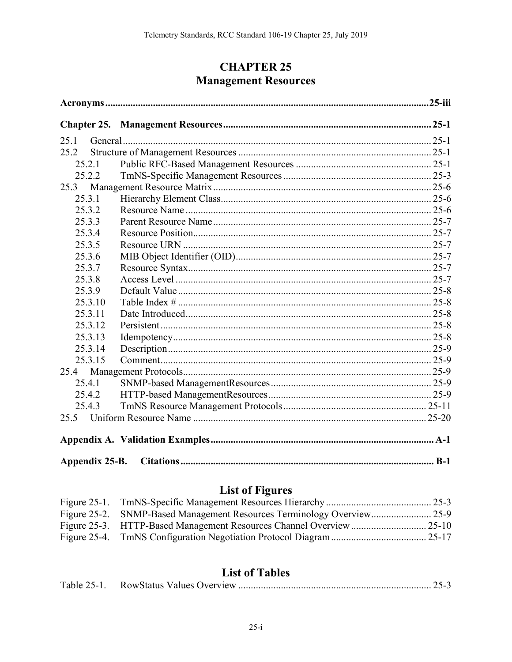# **CHAPTER 25 Management Resources**

| 25.1    |  |  |
|---------|--|--|
| 25.2    |  |  |
| 25.2.1  |  |  |
| 25.2.2  |  |  |
| 25.3    |  |  |
| 25.3.1  |  |  |
| 25.3.2  |  |  |
| 25.3.3  |  |  |
| 25.3.4  |  |  |
| 25.3.5  |  |  |
| 25.3.6  |  |  |
| 25.3.7  |  |  |
| 25.3.8  |  |  |
| 25.3.9  |  |  |
| 25.3.10 |  |  |
| 25.3.11 |  |  |
| 25.3.12 |  |  |
| 25.3.13 |  |  |
| 25.3.14 |  |  |
| 25.3.15 |  |  |
| 25.4    |  |  |
| 25.4.1  |  |  |
| 25.4.2  |  |  |
| 25.4.3  |  |  |
| 25.5    |  |  |
|         |  |  |
|         |  |  |

# **List of Figures**

# **List of Tables**

| Table 25-1. |  |  |  |
|-------------|--|--|--|
|-------------|--|--|--|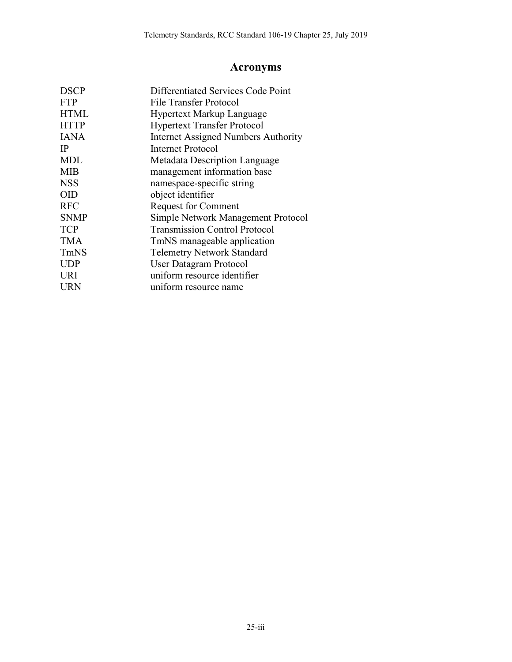# <span id="page-2-0"></span>**Acronyms**

| Differentiated Services Code Point<br><b>DSCP</b>         |  |
|-----------------------------------------------------------|--|
| <b>FTP</b><br><b>File Transfer Protocol</b>               |  |
| <b>HTML</b><br>Hypertext Markup Language                  |  |
| <b>HTTP</b><br><b>Hypertext Transfer Protocol</b>         |  |
| <b>JANA</b><br><b>Internet Assigned Numbers Authority</b> |  |
| Internet Protocol<br><b>IP</b>                            |  |
| <b>MDL</b><br>Metadata Description Language               |  |
| <b>MIB</b><br>management information base                 |  |
| <b>NSS</b><br>namespace-specific string                   |  |
| <b>OID</b><br>object identifier                           |  |
| <b>RFC</b><br><b>Request for Comment</b>                  |  |
| <b>SNMP</b><br>Simple Network Management Protocol         |  |
| <b>TCP</b><br><b>Transmission Control Protocol</b>        |  |
| <b>TMA</b><br>TmNS manageable application                 |  |
| <b>TmNS</b><br><b>Telemetry Network Standard</b>          |  |
| <b>UDP</b><br><b>User Datagram Protocol</b>               |  |
| uniform resource identifier<br>URI                        |  |
| URN<br>uniform resource name                              |  |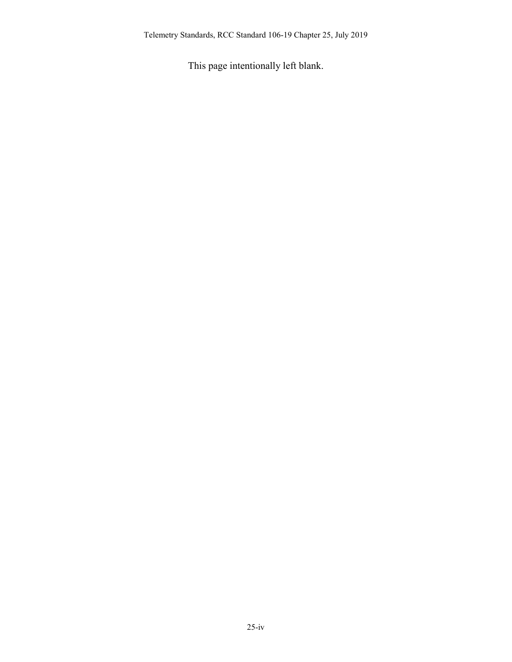This page intentionally left blank.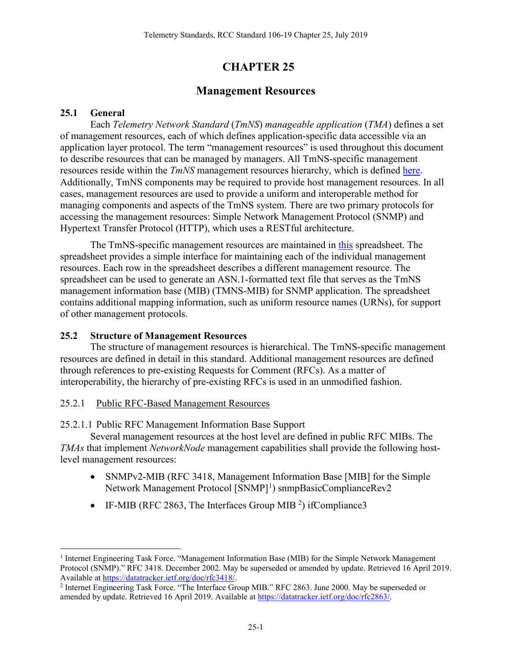# <span id="page-4-0"></span>**CHAPTER 25**

# **Management Resources**

### <span id="page-4-1"></span>**25.1 General**

Each *Telemetry Network Standard* (*TmNS*) *manageable application* (*TMA*) defines a set of management resources, each of which defines application-specific data accessible via an application layer protocol. The term "management resources" is used throughout this document to describe resources that can be managed by managers. All TmNS-specific management resources reside within the *TmNS* management resources hierarchy, which is defined [here.](http://www.wsmr.army.mil/RCCsite/Documents/references/ManagementResourceMatrix.zip) Additionally, TmNS components may be required to provide host management resources. In all cases, management resources are used to provide a uniform and interoperable method for managing components and aspects of the TmNS system. There are two primary protocols for accessing the management resources: Simple Network Management Protocol (SNMP) and Hypertext Transfer Protocol (HTTP), which uses a RESTful architecture.

The TmNS-specific management resources are maintained in [this](http://www.wsmr.army.mil/RCCsite/Documents/references/ManagementResourceMatrix.zip) spreadsheet. The spreadsheet provides a simple interface for maintaining each of the individual management resources. Each row in the spreadsheet describes a different management resource. The spreadsheet can be used to generate an ASN.1-formatted text file that serves as the TmNS management information base (MIB) (TMNS-MIB) for SNMP application. The spreadsheet contains additional mapping information, such as uniform resource names (URNs), for support of other management protocols.

### <span id="page-4-2"></span>**25.2 Structure of Management Resources**

The structure of management resources is hierarchical. The TmNS-specific management resources are defined in detail in this standard. Additional management resources are defined through references to pre-existing Requests for Comment (RFCs). As a matter of interoperability, the hierarchy of pre-existing RFCs is used in an unmodified fashion.

### <span id="page-4-3"></span>25.2.1 Public RFC-Based Management Resources

25.2.1.1 Public RFC Management Information Base Support

Several management resources at the host level are defined in public RFC MIBs. The *TMAs* that implement *NetworkNode* management capabilities shall provide the following hostlevel management resources:

- SNMPv2-MIB (RFC 3418, Management Information Base [MIB] for the Simple Network Management Protocol [SNMP]<sup>[1](#page-4-4)</sup>) snmpBasicComplianceRev2
- IF-MIB (RFC [2](#page-4-5)863, The Interfaces Group MIB<sup>2</sup>) if Compliance 3

<span id="page-4-4"></span> <sup>1</sup> Internet Engineering Task Force. "Management Information Base (MIB) for the Simple Network Management Protocol (SNMP)." RFC 3418. December 2002. May be superseded or amended by update. Retrieved 16 April 2019. Available at [https://datatracker.ietf.org/doc/rfc3418/.](https://datatracker.ietf.org/doc/rfc3418/)

<span id="page-4-5"></span><sup>2</sup> Internet Engineering Task Force. "The Interface Group MIB." RFC 2863. June 2000. May be superseded or amended by update. Retrieved 16 April 2019. Available at [https://datatracker.ietf.org/doc/rfc2863/.](https://datatracker.ietf.org/doc/rfc2863/)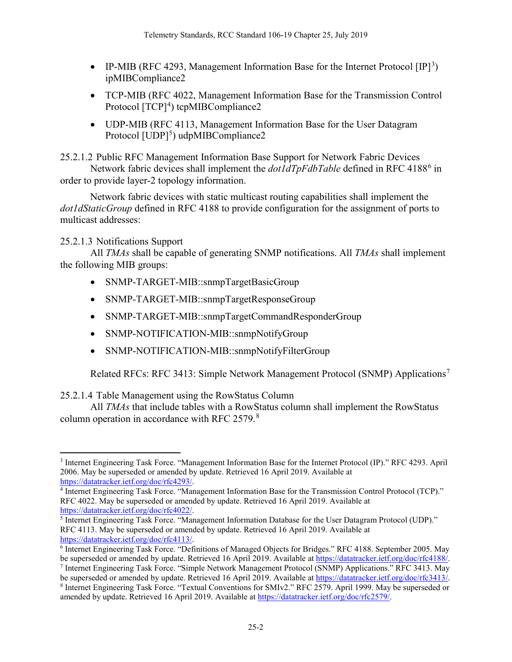- IP-MIB (RFC 429[3](#page-5-0), Management Information Base for the Internet Protocol  $[IP]^3$ ) ipMIBCompliance2
- TCP-MIB (RFC 4022, Management Information Base for the Transmission Control Protocol [TCP]<sup>[4](#page-5-1)</sup>) tcpMIBCompliance2
- UDP-MIB (RFC 4113, Management Information Base for the User Datagram Protocol [UDP]<sup>[5](#page-5-2)</sup>) udpMIBCompliance2

25.2.1.2 Public RFC Management Information Base Support for Network Fabric Devices

Network fabric devices shall implement the *dot1dTpFdbTable* defined in RFC 4188<sup>[6](#page-5-3)</sup> in order to provide layer-2 topology information.

Network fabric devices with static multicast routing capabilities shall implement the *dot1dStaticGroup* defined in RFC 4188 to provide configuration for the assignment of ports to multicast addresses:

25.2.1.3 Notifications Support

All *TMAs* shall be capable of generating SNMP notifications. All *TMAs* shall implement the following MIB groups:

- SNMP-TARGET-MIB::snmpTargetBasicGroup
- SNMP-TARGET-MIB::snmpTargetResponseGroup
- SNMP-TARGET-MIB::snmpTargetCommandResponderGroup
- SNMP-NOTIFICATION-MIB::snmpNotifyGroup
- SNMP-NOTIFICATION-MIB::snmpNotifyFilterGroup

Related RFCs: RFC 3413: Simple Network Management Protocol (SNMP) Applications<sup>[7](#page-5-4)</sup>

25.2.1.4 Table Management using the RowStatus Column

All *TMAs* that include tables with a RowStatus column shall implement the RowStatus column operation in accordance with RFC 2579. [8](#page-5-5)

<span id="page-5-0"></span> <sup>3</sup> Internet Engineering Task Force. "Management Information Base for the Internet Protocol (IP)." RFC 4293. April 2006. May be superseded or amended by update. Retrieved 16 April 2019. Available at [https://datatracker.ietf.org/doc/rfc4293/.](https://datatracker.ietf.org/doc/rfc4293/)

<span id="page-5-1"></span><sup>4</sup> Internet Engineering Task Force. "Management Information Base for the Transmission Control Protocol (TCP)." RFC 4022. May be superseded or amended by update. Retrieved 16 April 2019. Available at [https://datatracker.ietf.org/doc/rfc4022/.](https://datatracker.ietf.org/doc/rfc4022/)

<span id="page-5-2"></span><sup>&</sup>lt;sup>5</sup> Internet Engineering Task Force. "Management Information Database for the User Datagram Protocol (UDP)." RFC 4113. May be superseded or amended by update. Retrieved 16 April 2019. Available at [https://datatracker.ietf.org/doc/rfc4113/.](https://datatracker.ietf.org/doc/rfc4113/)

<span id="page-5-3"></span><sup>6</sup> Internet Engineering Task Force. "Definitions of Managed Objects for Bridges." RFC 4188. September 2005. May be superseded or amended by update. Retrieved 16 April 2019. Available at [https://datatracker.ietf.org/doc/rfc4188/.](https://datatracker.ietf.org/doc/rfc4188/) <sup>7</sup> Internet Engineering Task Force. "Simple Network Management Protocol (SNMP) Applications." RFC 3413. May

<span id="page-5-5"></span><span id="page-5-4"></span>be superseded or amended by update. Retrieved 16 April 2019. Available at [https://datatracker.ietf.org/doc/rfc3413/.](https://datatracker.ietf.org/doc/rfc3413/) <sup>8</sup> Internet Engineering Task Force. "Textual Conventions for SMIv2." RFC 2579. April 1999. May be superseded or amended by update. Retrieved 16 April 2019. Available at [https://datatracker.ietf.org/doc/rfc2579/.](https://datatracker.ietf.org/doc/rfc2579/)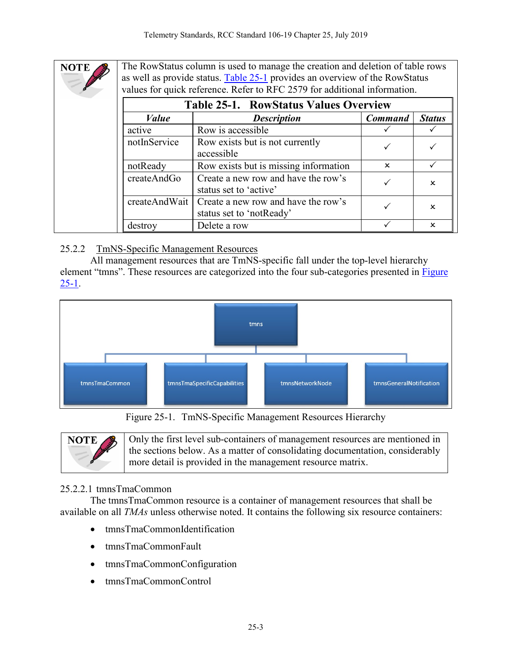<span id="page-6-2"></span>

| <b>NOTE</b> |               | The RowStatus column is used to manage the creation and deletion of table rows<br>as well as provide status. Table 25-1 provides an overview of the RowStatus<br>values for quick reference. Refer to RFC 2579 for additional information.<br><b>Table 25-1. RowStatus Values Overview</b> |                |                           |
|-------------|---------------|--------------------------------------------------------------------------------------------------------------------------------------------------------------------------------------------------------------------------------------------------------------------------------------------|----------------|---------------------------|
|             | <i>Value</i>  | <b>Description</b>                                                                                                                                                                                                                                                                         | <b>Command</b> | <b>Status</b>             |
|             | active        | Row is accessible                                                                                                                                                                                                                                                                          |                |                           |
|             | notInService  | Row exists but is not currently<br>accessible                                                                                                                                                                                                                                              |                |                           |
|             | notReady      | Row exists but is missing information                                                                                                                                                                                                                                                      | $\mathbf{x}$   |                           |
|             | createAndGo   | Create a new row and have the row's<br>status set to 'active'                                                                                                                                                                                                                              |                | $\boldsymbol{\mathsf{x}}$ |
|             | createAndWait | Create a new row and have the row's<br>status set to 'notReady'                                                                                                                                                                                                                            |                | $\mathbf x$               |
|             | destroy       | Delete a row                                                                                                                                                                                                                                                                               |                | $\boldsymbol{\mathsf{x}}$ |

# <span id="page-6-0"></span>25.2.2 TmNS-Specific Management Resources

All management resources that are TmNS-specific fall under the top-level hierarchy element "tmns". These resources are categorized into the four sub-categories presented in [Figure](#page-6-1)  [25-1.](#page-6-1)



Figure 25-1. TmNS-Specific Management Resources Hierarchy

<span id="page-6-1"></span>

Only the first level sub-containers of management resources are mentioned in the sections below. As a matter of consolidating documentation, considerably more detail is provided in the management resource matrix.

# 25.2.2.1 tmnsTmaCommon

The tmnsTmaCommon resource is a container of management resources that shall be available on all *TMAs* unless otherwise noted. It contains the following six resource containers:

- tmnsTmaCommonIdentification
- tmnsTmaCommonFault
- tmnsTmaCommonConfiguration
- tmnsTmaCommonControl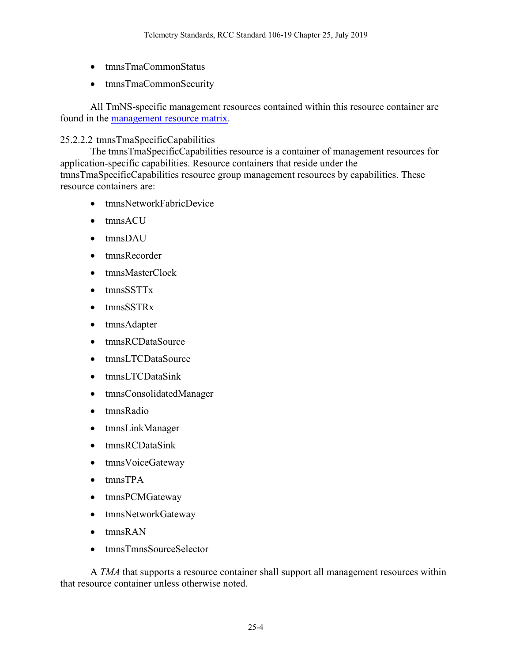- tmnsTmaCommonStatus
- tmnsTmaCommonSecurity

All TmNS-specific management resources contained within this resource container are found in the [management resource matrix.](http://www.wsmr.army.mil/RCCsite/Documents/references/ManagementResourceMatrix.zip)

### 25.2.2.2 tmnsTmaSpecificCapabilities

The tmnsTmaSpecificCapabilities resource is a container of management resources for application-specific capabilities. Resource containers that reside under the tmnsTmaSpecificCapabilities resource group management resources by capabilities. These resource containers are:

- tmnsNetworkFabricDevice
- tmnsACU
- tmnsDAU
- tmnsRecorder
- tmnsMasterClock
- tmnsSSTTx
- tmnsSSTRx
- tmnsAdapter
- tmnsRCDataSource
- tmnsLTCDataSource
- tmnsLTCDataSink
- tmnsConsolidatedManager
- tmnsRadio
- tmnsLinkManager
- tmnsRCDataSink
- tmnsVoiceGateway
- tmnsTPA
- tmnsPCMGateway
- tmnsNetworkGateway
- $\bullet$  tmnsRAN
- tmnsTmnsSourceSelector

A *TMA* that supports a resource container shall support all management resources within that resource container unless otherwise noted.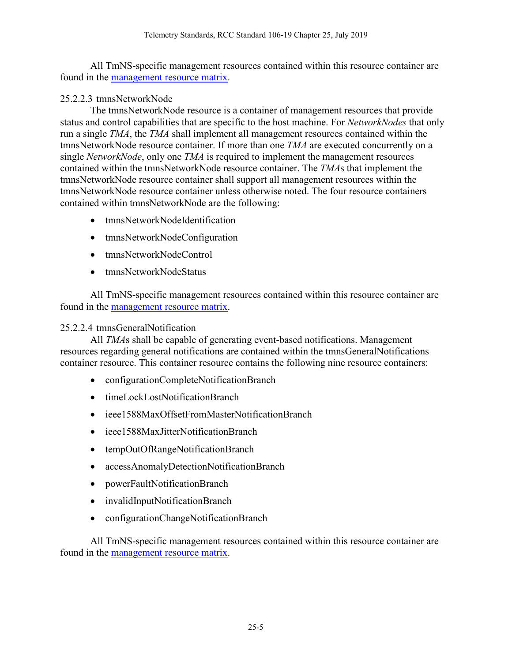All TmNS-specific management resources contained within this resource container are found in the [management resource matrix.](http://www.wsmr.army.mil/RCCsite/Documents/references/ManagementResourceMatrix.zip)

### 25.2.2.3 tmnsNetworkNode

The tmnsNetworkNode resource is a container of management resources that provide status and control capabilities that are specific to the host machine. For *NetworkNodes* that only run a single *TMA*, the *TMA* shall implement all management resources contained within the tmnsNetworkNode resource container. If more than one *TMA* are executed concurrently on a single *NetworkNode*, only one *TMA* is required to implement the management resources contained within the tmnsNetworkNode resource container. The *TMA*s that implement the tmnsNetworkNode resource container shall support all management resources within the tmnsNetworkNode resource container unless otherwise noted. The four resource containers contained within tmnsNetworkNode are the following:

- tmnsNetworkNodeIdentification
- tmnsNetworkNodeConfiguration
- tmnsNetworkNodeControl
- tmnsNetworkNodeStatus

All TmNS-specific management resources contained within this resource container are found in the [management resource matrix.](http://www.wsmr.army.mil/RCCsite/Documents/references/ManagementResourceMatrix.zip)

### 25.2.2.4 tmnsGeneralNotification

All *TMA*s shall be capable of generating event-based notifications. Management resources regarding general notifications are contained within the tmnsGeneralNotifications container resource. This container resource contains the following nine resource containers:

- configurationCompleteNotificationBranch
- timeLockLostNotificationBranch
- ieee1588MaxOffsetFromMasterNotificationBranch
- ieee1588MaxJitterNotificationBranch
- tempOutOfRangeNotificationBranch
- accessAnomalyDetectionNotificationBranch
- powerFaultNotificationBranch
- invalidInputNotificationBranch
- configurationChangeNotificationBranch

All TmNS-specific management resources contained within this resource container are found in the [management resource matrix.](http://www.wsmr.army.mil/RCCsite/Documents/references/ManagementResourceMatrix.zip)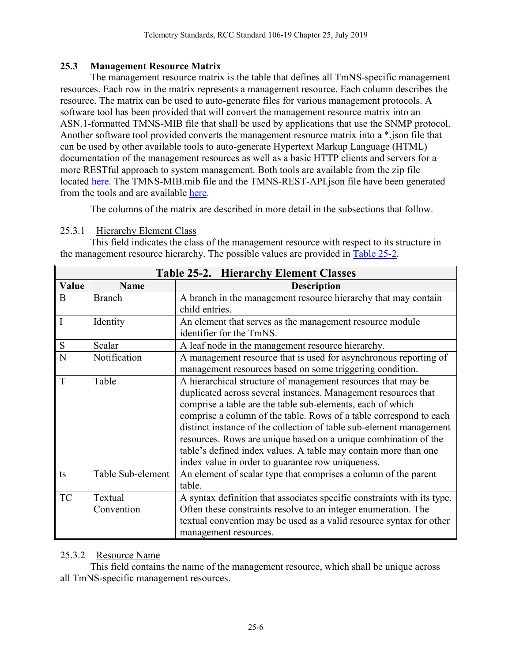### <span id="page-9-0"></span>**25.3 Management Resource Matrix**

The management resource matrix is the table that defines all TmNS-specific management resources. Each row in the matrix represents a management resource. Each column describes the resource. The matrix can be used to auto-generate files for various management protocols. A software tool has been provided that will convert the management resource matrix into an ASN.1-formatted TMNS-MIB file that shall be used by applications that use the SNMP protocol. Another software tool provided converts the management resource matrix into a \*.json file that can be used by other available tools to auto-generate Hypertext Markup Language (HTML) documentation of the management resources as well as a basic HTTP clients and servers for a more RESTful approach to system management. Both tools are available from the zip file located [here.](http://www.wsmr.army.mil/RCCsite/Documents/references/MRM_Tools.zip) The TMNS-MIB.mib file and the TMNS-REST-API.json file have been generated from the tools and are available [here.](http://www.wsmr.army.mil/RCCsite/Documents/references/CH_25_TMNS.zip)

The columns of the matrix are described in more detail in the subsections that follow.

<span id="page-9-3"></span>

| <b>Table 25-2. Hierarchy Element Classes</b> |                   |                                                                         |  |
|----------------------------------------------|-------------------|-------------------------------------------------------------------------|--|
| Value                                        | <b>Name</b>       | <b>Description</b>                                                      |  |
| B                                            | <b>Branch</b>     | A branch in the management resource hierarchy that may contain          |  |
|                                              |                   | child entries.                                                          |  |
| $\mathbf I$                                  | Identity          | An element that serves as the management resource module                |  |
|                                              |                   | identifier for the TmNS.                                                |  |
| S                                            | Scalar            | A leaf node in the management resource hierarchy.                       |  |
| N                                            | Notification      | A management resource that is used for asynchronous reporting of        |  |
|                                              |                   | management resources based on some triggering condition.                |  |
| T                                            | Table             | A hierarchical structure of management resources that may be            |  |
|                                              |                   | duplicated across several instances. Management resources that          |  |
|                                              |                   | comprise a table are the table sub-elements, each of which              |  |
|                                              |                   | comprise a column of the table. Rows of a table correspond to each      |  |
|                                              |                   | distinct instance of the collection of table sub-element management     |  |
|                                              |                   | resources. Rows are unique based on a unique combination of the         |  |
|                                              |                   | table's defined index values. A table may contain more than one         |  |
|                                              |                   | index value in order to guarantee row uniqueness.                       |  |
| ts                                           | Table Sub-element | An element of scalar type that comprises a column of the parent         |  |
|                                              |                   | table.                                                                  |  |
| TC                                           | Textual           | A syntax definition that associates specific constraints with its type. |  |
|                                              | Convention        | Often these constraints resolve to an integer enumeration. The          |  |
|                                              |                   | textual convention may be used as a valid resource syntax for other     |  |
|                                              |                   | management resources.                                                   |  |

#### <span id="page-9-1"></span>25.3.1 Hierarchy Element Class

This field indicates the class of the management resource with respect to its structure in the management resource hierarchy. The possible values are provided in [Table 25-2.](#page-9-3)

### <span id="page-9-2"></span>25.3.2 Resource Name

This field contains the name of the management resource, which shall be unique across all TmNS-specific management resources.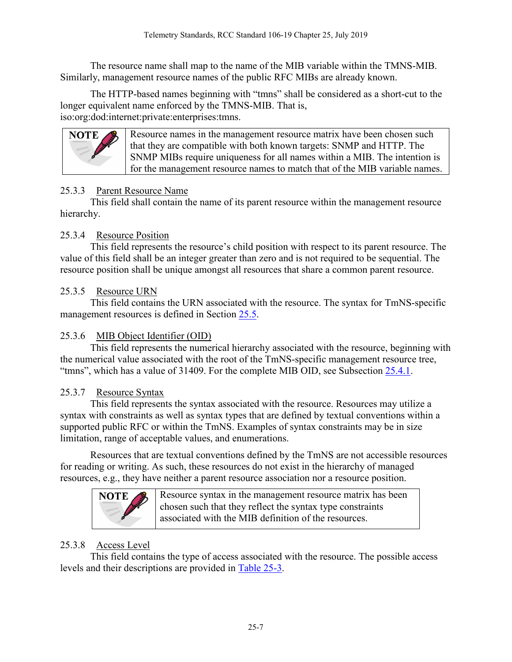The resource name shall map to the name of the MIB variable within the TMNS-MIB. Similarly, management resource names of the public RFC MIBs are already known.

The HTTP-based names beginning with "tmns" shall be considered as a short-cut to the longer equivalent name enforced by the TMNS-MIB. That is, iso:org:dod:internet:private:enterprises:tmns.

Resource names in the management resource matrix have been chosen such **NOTE** that they are compatible with both known targets: SNMP and HTTP. The SNMP MIBs require uniqueness for all names within a MIB. The intention is for the management resource names to match that of the MIB variable names.

# <span id="page-10-0"></span>25.3.3 Parent Resource Name

This field shall contain the name of its parent resource within the management resource hierarchy.

# <span id="page-10-1"></span>25.3.4 Resource Position

This field represents the resource's child position with respect to its parent resource. The value of this field shall be an integer greater than zero and is not required to be sequential. The resource position shall be unique amongst all resources that share a common parent resource.

# <span id="page-10-2"></span>25.3.5 Resource URN

This field contains the URN associated with the resource. The syntax for TmNS-specific management resources is defined in Section [25.5.](#page-23-0)

# <span id="page-10-3"></span>25.3.6 MIB Object Identifier (OID)

This field represents the numerical hierarchy associated with the resource, beginning with the numerical value associated with the root of the TmNS-specific management resource tree, "tmns", which has a value of 31409. For the complete MIB OID, see Subsection [25.4.1.](#page-12-3)

### <span id="page-10-4"></span>25.3.7 Resource Syntax

This field represents the syntax associated with the resource. Resources may utilize a syntax with constraints as well as syntax types that are defined by textual conventions within a supported public RFC or within the TmNS. Examples of syntax constraints may be in size limitation, range of acceptable values, and enumerations.

Resources that are textual conventions defined by the TmNS are not accessible resources for reading or writing. As such, these resources do not exist in the hierarchy of managed resources, e.g., they have neither a parent resource association nor a resource position.



Resource syntax in the management resource matrix has been chosen such that they reflect the syntax type constraints associated with the MIB definition of the resources.

# <span id="page-10-5"></span>25.3.8 Access Level

This field contains the type of access associated with the resource. The possible access levels and their descriptions are provided in [Table 25-3.](#page-11-5)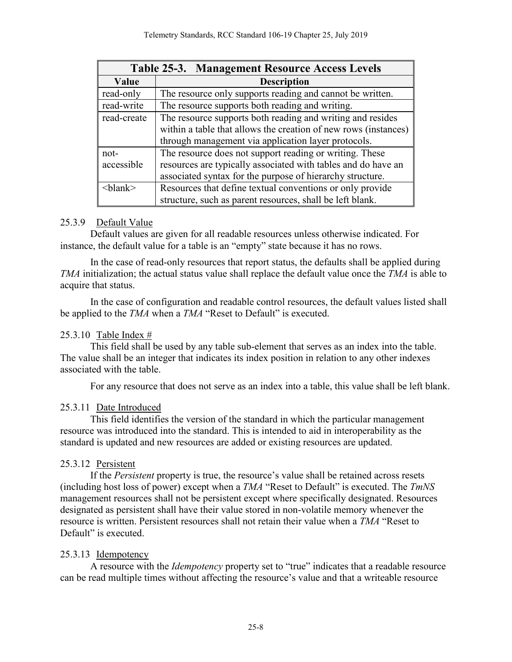<span id="page-11-5"></span>

|                           | Table 25-3. Management Resource Access Levels                   |
|---------------------------|-----------------------------------------------------------------|
| Value                     | <b>Description</b>                                              |
| read-only                 | The resource only supports reading and cannot be written.       |
| read-write                | The resource supports both reading and writing.                 |
| read-create               | The resource supports both reading and writing and resides      |
|                           | within a table that allows the creation of new rows (instances) |
|                           | through management via application layer protocols.             |
| not-                      | The resource does not support reading or writing. These         |
| accessible                | resources are typically associated with tables and do have an   |
|                           | associated syntax for the purpose of hierarchy structure.       |
| $\langle$ blank $\rangle$ | Resources that define textual conventions or only provide       |
|                           | structure, such as parent resources, shall be left blank.       |

### <span id="page-11-0"></span>25.3.9 Default Value

Default values are given for all readable resources unless otherwise indicated. For instance, the default value for a table is an "empty" state because it has no rows.

In the case of read-only resources that report status, the defaults shall be applied during *TMA* initialization; the actual status value shall replace the default value once the *TMA* is able to acquire that status.

In the case of configuration and readable control resources, the default values listed shall be applied to the *TMA* when a *TMA* "Reset to Default" is executed.

### <span id="page-11-1"></span>25.3.10 Table Index #

This field shall be used by any table sub-element that serves as an index into the table. The value shall be an integer that indicates its index position in relation to any other indexes associated with the table.

For any resource that does not serve as an index into a table, this value shall be left blank.

#### <span id="page-11-2"></span>25.3.11 Date Introduced

This field identifies the version of the standard in which the particular management resource was introduced into the standard. This is intended to aid in interoperability as the standard is updated and new resources are added or existing resources are updated.

#### <span id="page-11-3"></span>25.3.12 Persistent

If the *Persistent* property is true, the resource's value shall be retained across resets (including host loss of power) except when a *TMA* "Reset to Default" is executed. The *TmNS* management resources shall not be persistent except where specifically designated. Resources designated as persistent shall have their value stored in non-volatile memory whenever the resource is written. Persistent resources shall not retain their value when a *TMA* "Reset to Default" is executed.

#### <span id="page-11-4"></span>25.3.13 Idempotency

A resource with the *Idempotency* property set to "true" indicates that a readable resource can be read multiple times without affecting the resource's value and that a writeable resource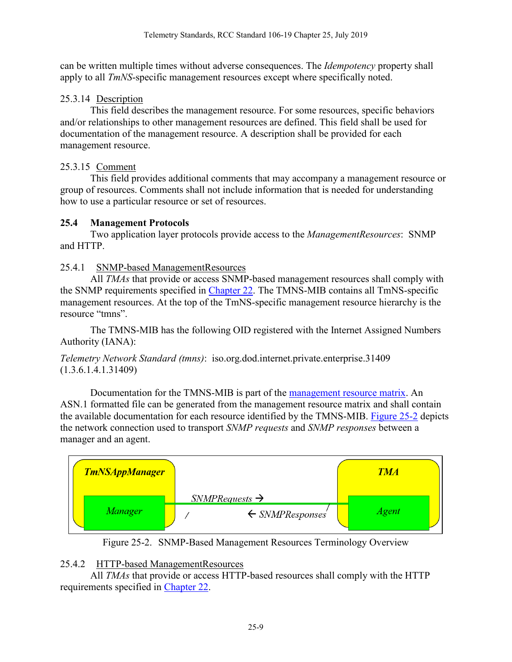can be written multiple times without adverse consequences. The *Idempotency* property shall apply to all *TmNS*-specific management resources except where specifically noted.

### <span id="page-12-0"></span>25.3.14 Description

This field describes the management resource. For some resources, specific behaviors and/or relationships to other management resources are defined. This field shall be used for documentation of the management resource. A description shall be provided for each management resource.

### <span id="page-12-1"></span>25.3.15 Comment

This field provides additional comments that may accompany a management resource or group of resources. Comments shall not include information that is needed for understanding how to use a particular resource or set of resources.

### <span id="page-12-2"></span>**25.4 Management Protocols**

Two application layer protocols provide access to the *ManagementResources*: SNMP and HTTP.

<span id="page-12-3"></span>25.4.1 SNMP-based ManagementResources

All *TMAs* that provide or access SNMP-based management resources shall comply with the SNMP requirements specified in [Chapter 22.](http://www.wsmr.army.mil/RCCsite/Documents/106-19_Telemetry_Standards/Chapter22.pdf) The TMNS-MIB contains all TmNS-specific management resources. At the top of the TmNS-specific management resource hierarchy is the resource "tmns".

The TMNS-MIB has the following OID registered with the Internet Assigned Numbers Authority (IANA):

*Telemetry Network Standard (tmns)*: iso.org.dod.internet.private.enterprise.31409 (1.3.6.1.4.1.31409)

Documentation for the TMNS-MIB is part of the [management resource matrix.](http://www.wsmr.army.mil/RCCsite/Documents/references/ManagementResourceMatrix.zip) An ASN.1 formatted file can be generated from the management resource matrix and shall contain the available documentation for each resource identified by the TMNS-MIB. [Figure 25-2](#page-12-5) depicts the network connection used to transport *SNMP requests* and *SNMP responses* between a manager and an agent.

| <b>TmNSAppManager</b> |                                                | <b>TMA</b> |
|-----------------------|------------------------------------------------|------------|
| <b>Manager</b>        | $SNMPRequests \rightarrow$<br>← SNMPResponses' | Agent      |



### <span id="page-12-5"></span><span id="page-12-4"></span>25.4.2 HTTP-based ManagementResources

All *TMAs* that provide or access HTTP-based resources shall comply with the HTTP requirements specified in [Chapter 22.](http://www.wsmr.army.mil/RCCsite/Documents/106-19_Telemetry_Standards/Chapter22.pdf)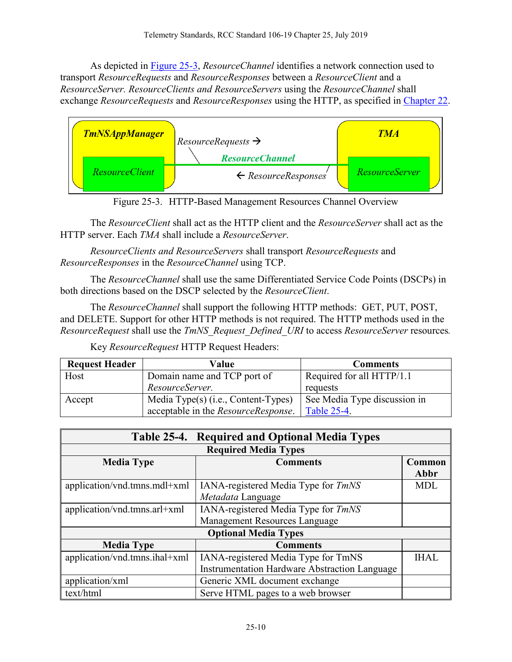As depicted in [Figure 25-3,](#page-13-0) *ResourceChannel* identifies a network connection used to transport *ResourceRequests* and *ResourceResponses* between a *ResourceClient* and a *ResourceServer. ResourceClients and ResourceServers* using the *ResourceChannel* shall exchange *ResourceRequests* and *ResourceResponses* using the HTTP, as specified in [Chapter 22.](http://www.wsmr.army.mil/RCCsite/Documents/106-19_Telemetry_Standards/Chapter22.pdf)



Figure 25-3. HTTP-Based Management Resources Channel Overview

<span id="page-13-0"></span>The *ResourceClient* shall act as the HTTP client and the *ResourceServer* shall act as the HTTP server. Each *TMA* shall include a *ResourceServer*.

*ResourceClients and ResourceServers* shall transport *ResourceRequests* and *ResourceResponses* in the *ResourceChannel* using TCP.

The *ResourceChannel* shall use the same Differentiated Service Code Points (DSCPs) in both directions based on the DSCP selected by the *ResourceClient*.

The *ResourceChannel* shall support the following HTTP methods: GET, PUT, POST, and DELETE. Support for other HTTP methods is not required. The HTTP methods used in the *ResourceRequest* shall use the *TmNS\_Request\_Defined\_URI* to access *ResourceServer* resources*.*

Key *ResourceRequest* HTTP Request Headers:

| <b>Request Header</b> | Value                               | <b>Comments</b>              |
|-----------------------|-------------------------------------|------------------------------|
| Host                  | Domain name and TCP port of         | Required for all HTTP/1.1    |
|                       | ResourceServer.                     | requests                     |
| Accept                | Media Type(s) (i.e., Content-Types) | See Media Type discussion in |
|                       | acceptable in the ResourceResponse. | Table 25-4.                  |

<span id="page-13-1"></span>

| Table 25-4. Required and Optional Media Types |                                                      |             |
|-----------------------------------------------|------------------------------------------------------|-------------|
|                                               | <b>Required Media Types</b>                          |             |
| <b>Media Type</b>                             | <b>Comments</b>                                      | Common      |
|                                               |                                                      | Abbr        |
| application/vnd.tmns.mdl+xml                  | IANA-registered Media Type for TmNS                  | <b>MDL</b>  |
|                                               | Metadata Language                                    |             |
| application/vnd.tmns.arl+xml                  | IANA-registered Media Type for TmNS                  |             |
|                                               | Management Resources Language                        |             |
|                                               | <b>Optional Media Types</b>                          |             |
| <b>Media Type</b>                             | <b>Comments</b>                                      |             |
| application/vnd.tmns.ihal+xml                 | IANA-registered Media Type for TmNS                  | <b>IHAL</b> |
|                                               | <b>Instrumentation Hardware Abstraction Language</b> |             |
| application/xml                               | Generic XML document exchange                        |             |
| text/html                                     | Serve HTML pages to a web browser                    |             |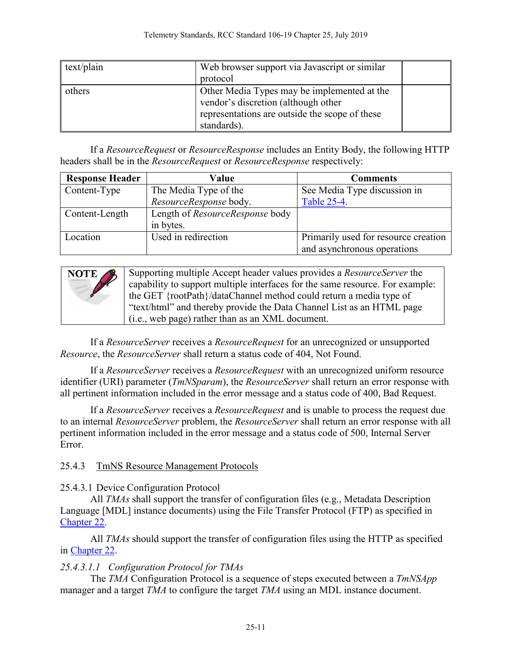| text/plain | Web browser support via Javascript or similar<br>protocol                                                                                           |  |
|------------|-----------------------------------------------------------------------------------------------------------------------------------------------------|--|
| others     | Other Media Types may be implemented at the<br>vendor's discretion (although other<br>representations are outside the scope of these<br>standards). |  |

If a *ResourceRequest* or *ResourceResponse* includes an Entity Body, the following HTTP headers shall be in the *ResourceRequest* or *ResourceResponse* respectively:

| <b>Response Header</b> | Value                           | <b>Comments</b>                      |
|------------------------|---------------------------------|--------------------------------------|
| Content-Type           | The Media Type of the           | See Media Type discussion in         |
|                        | ResourceResponse body.          | Table 25-4.                          |
| Content-Length         | Length of ResourceResponse body |                                      |
|                        | in bytes.                       |                                      |
| Location               | Used in redirection             | Primarily used for resource creation |
|                        |                                 | and asynchronous operations          |

|            | Supporting multiple Accept header values provides a ResourceServer the        |
|------------|-------------------------------------------------------------------------------|
| NOTE SERVE | capability to support multiple interfaces for the same resource. For example: |
|            | the GET {rootPath}/dataChannel method could return a media type of            |
|            | "text/html" and thereby provide the Data Channel List as an HTML page         |
|            | (i.e., web page) rather than as an XML document.                              |

If a *ResourceServer* receives a *ResourceRequest* for an unrecognized or unsupported *Resource*, the *ResourceServer* shall return a status code of 404, Not Found.

If a *ResourceServer* receives a *ResourceRequest* with an unrecognized uniform resource identifier (URI) parameter (*TmNSparam*), the *ResourceServer* shall return an error response with all pertinent information included in the error message and a status code of 400, Bad Request.

If a *ResourceServer* receives a *ResourceRequest* and is unable to process the request due to an internal *ResourceServer* problem, the *ResourceServer* shall return an error response with all pertinent information included in the error message and a status code of 500, Internal Server Error.

<span id="page-14-0"></span>25.4.3 TmNS Resource Management Protocols

25.4.3.1 Device Configuration Protocol

All *TMAs* shall support the transfer of configuration files (e.g., Metadata Description Language [MDL] instance documents) using the File Transfer Protocol (FTP) as specified in [Chapter 22.](http://www.wsmr.army.mil/RCCsite/Documents/106-19_Telemetry_Standards/Chapter22.pdf)

All *TMAs* should support the transfer of configuration files using the HTTP as specified in [Chapter 22.](http://www.wsmr.army.mil/RCCsite/Documents/106-19_Telemetry_Standards/Chapter22.pdf)

### <span id="page-14-1"></span>*25.4.3.1.1 Configuration Protocol for TMAs*

The *TMA* Configuration Protocol is a sequence of steps executed between a *TmNSApp* manager and a target *TMA* to configure the target *TMA* using an MDL instance document.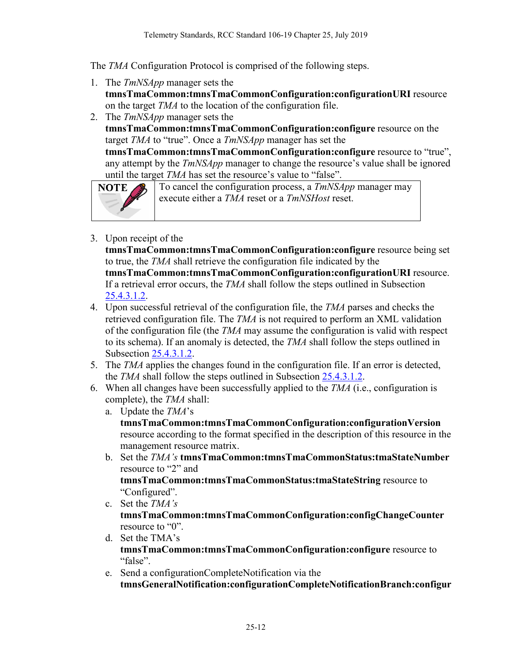The *TMA* Configuration Protocol is comprised of the following steps.

1. The *TmNSApp* manager sets the

**tmnsTmaCommon:tmnsTmaCommonConfiguration:configurationURI** resource on the target *TMA* to the location of the configuration file.

2. The *TmNSApp* manager sets the **tmnsTmaCommon:tmnsTmaCommonConfiguration:configure** resource on the target *TMA* to "true". Once a *TmNSApp* manager has set the **tmnsTmaCommon:tmnsTmaCommonConfiguration:configure** resource to "true", any attempt by the *TmNSApp* manager to change the resource's value shall be ignored until the target *TMA* has set the resource's value to "false".



To cancel the configuration process, a *TmNSApp* manager may execute either a *TMA* reset or a *TmNSHost* reset.

3. Upon receipt of the

**tmnsTmaCommon:tmnsTmaCommonConfiguration:configure** resource being set to true, the *TMA* shall retrieve the configuration file indicated by the **tmnsTmaCommon:tmnsTmaCommonConfiguration:configurationURI** resource. If a retrieval error occurs, the *TMA* shall follow the steps outlined in Subsection [25.4.3.1.2.](#page-16-0)

- 4. Upon successful retrieval of the configuration file, the *TMA* parses and checks the retrieved configuration file. The *TMA* is not required to perform an XML validation of the configuration file (the *TMA* may assume the configuration is valid with respect to its schema). If an anomaly is detected, the *TMA* shall follow the steps outlined in Subsection [25.4.3.1.2.](#page-16-0)
- 5. The *TMA* applies the changes found in the configuration file. If an error is detected, the *TMA* shall follow the steps outlined in Subsection [25.4.3.1.2.](#page-16-0)
- 6. When all changes have been successfully applied to the *TMA* (i.e., configuration is complete), the *TMA* shall:
	- a. Update the *TMA*'s

**tmnsTmaCommon:tmnsTmaCommonConfiguration:configurationVersion** resource according to the format specified in the description of this resource in the management resource matrix.

b. Set the *TMA's* **tmnsTmaCommon:tmnsTmaCommonStatus:tmaStateNumber** resource to "2" and

**tmnsTmaCommon:tmnsTmaCommonStatus:tmaStateString** resource to "Configured".

- c. Set the *TMA's*  **tmnsTmaCommon:tmnsTmaCommonConfiguration:configChangeCounter** resource to "0".
- d. Set the TMA's **tmnsTmaCommon:tmnsTmaCommonConfiguration:configure** resource to "false".
- e. Send a configurationCompleteNotification via the **tmnsGeneralNotification:configurationCompleteNotificationBranch:configur**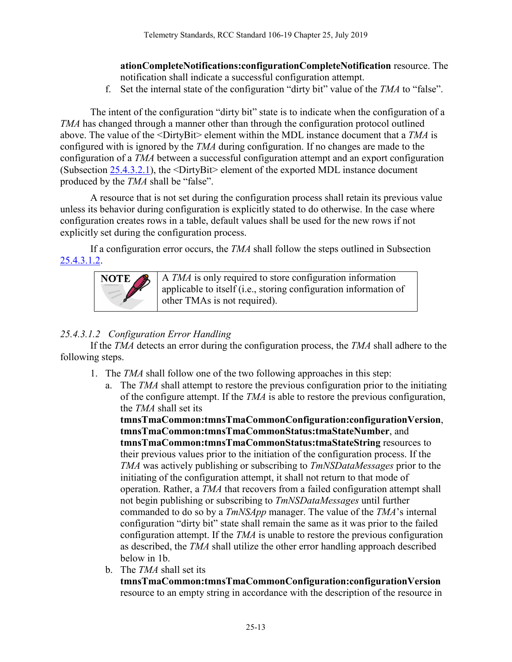**ationCompleteNotifications:configurationCompleteNotification** resource. The notification shall indicate a successful configuration attempt.

f. Set the internal state of the configuration "dirty bit" value of the *TMA* to "false".

The intent of the configuration "dirty bit" state is to indicate when the configuration of a *TMA* has changed through a manner other than through the configuration protocol outlined above. The value of the <DirtyBit> element within the MDL instance document that a *TMA* is configured with is ignored by the *TMA* during configuration. If no changes are made to the configuration of a *TMA* between a successful configuration attempt and an export configuration (Subsection  $25.4.3.2.1$ ), the <DirtyBit> element of the exported MDL instance document produced by the *TMA* shall be "false".

A resource that is not set during the configuration process shall retain its previous value unless its behavior during configuration is explicitly stated to do otherwise. In the case where configuration creates rows in a table, default values shall be used for the new rows if not explicitly set during the configuration process.

If a configuration error occurs, the *TMA* shall follow the steps outlined in Subsection [25.4.3.1.2.](#page-16-0)



A *TMA* is only required to store configuration information applicable to itself (i.e., storing configuration information of other TMAs is not required).

# <span id="page-16-0"></span>*25.4.3.1.2 Configuration Error Handling*

If the *TMA* detects an error during the configuration process, the *TMA* shall adhere to the following steps.

- 1. The *TMA* shall follow one of the two following approaches in this step:
	- a. The *TMA* shall attempt to restore the previous configuration prior to the initiating of the configure attempt. If the *TMA* is able to restore the previous configuration, the *TMA* shall set its

**tmnsTmaCommon:tmnsTmaCommonConfiguration:configurationVersion**, **tmnsTmaCommon:tmnsTmaCommonStatus:tmaStateNumber**, and **tmnsTmaCommon:tmnsTmaCommonStatus:tmaStateString** resources to their previous values prior to the initiation of the configuration process. If the *TMA* was actively publishing or subscribing to *TmNSDataMessages* prior to the initiating of the configuration attempt, it shall not return to that mode of operation. Rather, a *TMA* that recovers from a failed configuration attempt shall not begin publishing or subscribing to *TmNSDataMessages* until further commanded to do so by a *TmNSApp* manager. The value of the *TMA*'s internal configuration "dirty bit" state shall remain the same as it was prior to the failed configuration attempt. If the *TMA* is unable to restore the previous configuration as described, the *TMA* shall utilize the other error handling approach described below in 1b.

b. The *TMA* shall set its

**tmnsTmaCommon:tmnsTmaCommonConfiguration:configurationVersion** resource to an empty string in accordance with the description of the resource in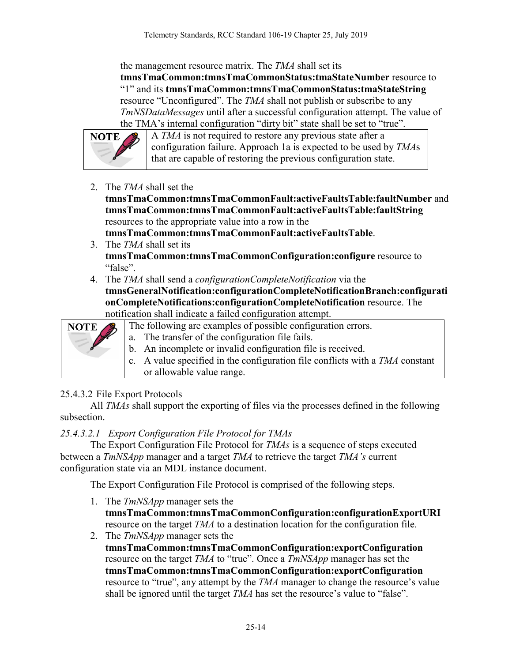the management resource matrix. The *TMA* shall set its

**tmnsTmaCommon:tmnsTmaCommonStatus:tmaStateNumber** resource to "1" and its **tmnsTmaCommon:tmnsTmaCommonStatus:tmaStateString**  resource "Unconfigured". The *TMA* shall not publish or subscribe to any *TmNSDataMessages* until after a successful configuration attempt. The value of the TMA's internal configuration "dirty bit" state shall be set to "true".



A *TMA* is not required to restore any previous state after a configuration failure. Approach 1a is expected to be used by *TMA*s that are capable of restoring the previous configuration state.

2. The *TMA* shall set the

**tmnsTmaCommon:tmnsTmaCommonFault:activeFaultsTable:faultNumber** and **tmnsTmaCommon:tmnsTmaCommonFault:activeFaultsTable:faultString** resources to the appropriate value into a row in the

**tmnsTmaCommon:tmnsTmaCommonFault:activeFaultsTable**.

- 3. The *TMA* shall set its **tmnsTmaCommon:tmnsTmaCommonConfiguration:configure** resource to "false".
- 4. The *TMA* shall send a *configurationCompleteNotification* via the **tmnsGeneralNotification:configurationCompleteNotificationBranch:configurati onCompleteNotifications:configurationCompleteNotification** resource. The notification shall indicate a failed configuration attempt.

| NOTE <sub>8</sub>       | The following are examples of possible configuration errors.                 |  |
|-------------------------|------------------------------------------------------------------------------|--|
| <b>Canada Riverside</b> | a. The transfer of the configuration file fails.                             |  |
|                         | b. An incomplete or invalid configuration file is received.                  |  |
|                         | c. A value specified in the configuration file conflicts with a TMA constant |  |
|                         | or allowable value range.                                                    |  |

# 25.4.3.2 File Export Protocols

All *TMAs* shall support the exporting of files via the processes defined in the following subsection.

### <span id="page-17-0"></span>*25.4.3.2.1 Export Configuration File Protocol for TMAs*

The Export Configuration File Protocol for *TMAs* is a sequence of steps executed between a *TmNSApp* manager and a target *TMA* to retrieve the target *TMA's* current configuration state via an MDL instance document.

The Export Configuration File Protocol is comprised of the following steps.

- 1. The *TmNSApp* manager sets the **tmnsTmaCommon:tmnsTmaCommonConfiguration:configurationExportURI** resource on the target *TMA* to a destination location for the configuration file.
- 2. The *TmNSApp* manager sets the **tmnsTmaCommon:tmnsTmaCommonConfiguration:exportConfiguration** resource on the target *TMA* to "true". Once a *TmNSApp* manager has set the **tmnsTmaCommon:tmnsTmaCommonConfiguration:exportConfiguration** resource to "true", any attempt by the *TMA* manager to change the resource's value shall be ignored until the target *TMA* has set the resource's value to "false".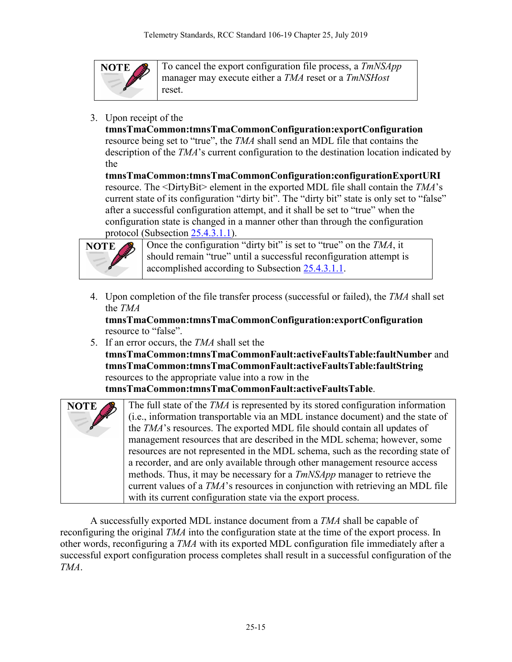

To cancel the export configuration file process, a *TmNSApp* manager may execute either a *TMA* reset or a *TmNSHost* reset.

# 3. Upon receipt of the

**tmnsTmaCommon:tmnsTmaCommonConfiguration:exportConfiguration** resource being set to "true", the *TMA* shall send an MDL file that contains the description of the *TMA*'s current configuration to the destination location indicated by the

**tmnsTmaCommon:tmnsTmaCommonConfiguration:configurationExportURI** resource. The <DirtyBit> element in the exported MDL file shall contain the *TMA*'s current state of its configuration "dirty bit". The "dirty bit" state is only set to "false" after a successful configuration attempt, and it shall be set to "true" when the configuration state is changed in a manner other than through the configuration protocol (Subsection [25.4.3.1.1\)](#page-14-1).



Once the configuration "dirty bit" is set to "true" on the *TMA*, it should remain "true" until a successful reconfiguration attempt is accomplished according to Subsection [25.4.3.1.1.](#page-14-1)

4. Upon completion of the file transfer process (successful or failed), the *TMA* shall set the *TMA*

**tmnsTmaCommon:tmnsTmaCommonConfiguration:exportConfiguration** resource to "false".

5. If an error occurs, the *TMA* shall set the **tmnsTmaCommon:tmnsTmaCommonFault:activeFaultsTable:faultNumber** and **tmnsTmaCommon:tmnsTmaCommonFault:activeFaultsTable:faultString** resources to the appropriate value into a row in the **tmnsTmaCommon:tmnsTmaCommonFault:activeFaultsTable**.

| <b>NOTE</b> | The full state of the <i>TMA</i> is represented by its stored configuration information |
|-------------|-----------------------------------------------------------------------------------------|
|             | (i.e., information transportable via an MDL instance document) and the state of         |
|             | the <i>TMA</i> 's resources. The exported MDL file should contain all updates of        |
|             | management resources that are described in the MDL schema; however, some                |
|             | resources are not represented in the MDL schema, such as the recording state of         |
|             | a recorder, and are only available through other management resource access             |
|             | methods. Thus, it may be necessary for a <i>TmNSApp</i> manager to retrieve the         |
|             | current values of a TMA's resources in conjunction with retrieving an MDL file          |
|             | with its current configuration state via the export process.                            |

A successfully exported MDL instance document from a *TMA* shall be capable of reconfiguring the original *TMA* into the configuration state at the time of the export process. In other words, reconfiguring a *TMA* with its exported MDL configuration file immediately after a successful export configuration process completes shall result in a successful configuration of the *TMA*.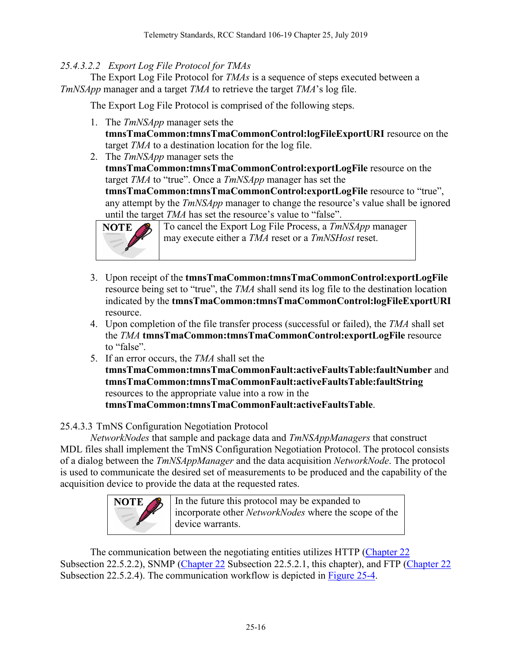# *25.4.3.2.2 Export Log File Protocol for TMAs*

The Export Log File Protocol for *TMAs* is a sequence of steps executed between a *TmNSApp* manager and a target *TMA* to retrieve the target *TMA*'s log file.

The Export Log File Protocol is comprised of the following steps.

- 1. The *TmNSApp* manager sets the **tmnsTmaCommon:tmnsTmaCommonControl:logFileExportURI** resource on the target *TMA* to a destination location for the log file.
- 2. The *TmNSApp* manager sets the **tmnsTmaCommon:tmnsTmaCommonControl:exportLogFile** resource on the target *TMA* to "true". Once a *TmNSApp* manager has set the **tmnsTmaCommon:tmnsTmaCommonControl:exportLogFile** resource to "true", any attempt by the *TmNSApp* manager to change the resource's value shall be ignored until the target *TMA* has set the resource's value to "false".



To cancel the Export Log File Process, a *TmNSApp* manager may execute either a *TMA* reset or a *TmNSHost* reset.

- 3. Upon receipt of the **tmnsTmaCommon:tmnsTmaCommonControl:exportLogFile** resource being set to "true", the *TMA* shall send its log file to the destination location indicated by the **tmnsTmaCommon:tmnsTmaCommonControl:logFileExportURI** resource.
- 4. Upon completion of the file transfer process (successful or failed), the *TMA* shall set the *TMA* **tmnsTmaCommon:tmnsTmaCommonControl:exportLogFile** resource to "false".
- 5. If an error occurs, the *TMA* shall set the **tmnsTmaCommon:tmnsTmaCommonFault:activeFaultsTable:faultNumber** and **tmnsTmaCommon:tmnsTmaCommonFault:activeFaultsTable:faultString** resources to the appropriate value into a row in the **tmnsTmaCommon:tmnsTmaCommonFault:activeFaultsTable**.

# 25.4.3.3 TmNS Configuration Negotiation Protocol

*NetworkNodes* that sample and package data and *TmNSAppManagers* that construct MDL files shall implement the TmNS Configuration Negotiation Protocol. The protocol consists of a dialog between the *TmNSAppManager* and the data acquisition *NetworkNode*. The protocol is used to communicate the desired set of measurements to be produced and the capability of the acquisition device to provide the data at the requested rates.



The communication between the negotiating entities utilizes HTTP [\(Chapter 22](http://www.wsmr.army.mil/RCCsite/Documents/106-19_Telemetry_Standards/Chapter22.pdf) Subsection 22.5.2.2), SNMP [\(Chapter 22](http://www.wsmr.army.mil/RCCsite/Documents/106-19_Telemetry_Standards/Chapter22.pdf) Subsection 22.5.2.1, this chapter), and FTP [\(Chapter 22](http://www.wsmr.army.mil/RCCsite/Documents/106-19_Telemetry_Standards/Chapter22.pdf) Subsection 22.5.2.4). The communication workflow is depicted in [Figure 25-4.](#page-20-0)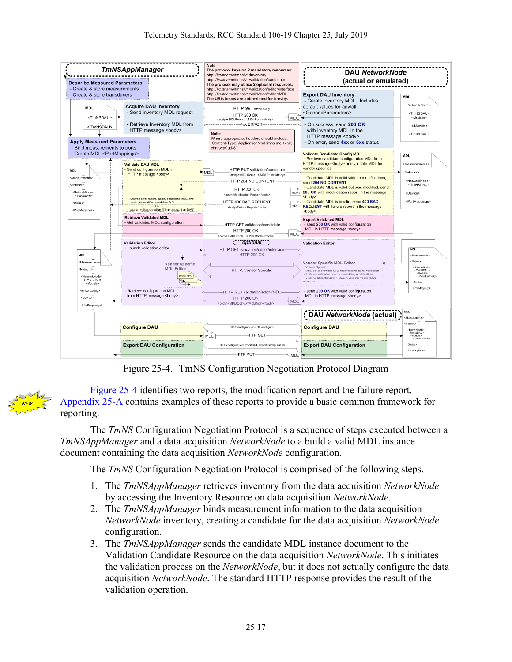

<span id="page-20-0"></span>Figure 25-4. TmNS Configuration Negotiation Protocol Diagram

[Figure 25-4](#page-20-0) identifies two reports, the modification report and the failure report. [Appendix 25-A](#page-24-1) contains examples of these reports to provide a basic common framework for reporting.

 $\frac{1}{\sqrt{1-\frac{1}{2}}}\sqrt{\frac{1}{2}}$ 

The *TmNS* Configuration Negotiation Protocol is a sequence of steps executed between a *TmNSAppManager* and a data acquisition *NetworkNode* to a build a valid MDL instance document containing the data acquisition *NetworkNode* configuration.

The *TmNS* Configuration Negotiation Protocol is comprised of the following steps.

- 1. The *TmNSAppManager* retrieves inventory from the data acquisition *NetworkNode* by accessing the Inventory Resource on data acquisition *NetworkNode*.
- 2. The *TmNSAppManager* binds measurement information to the data acquisition *NetworkNode* inventory, creating a candidate for the data acquisition *NetworkNode* configuration.
- 3. The *TmNSAppManager* sends the candidate MDL instance document to the Validation Candidate Resource on the data acquisition *NetworkNode*. This initiates the validation process on the *NetworkNode*, but it does not actually configure the data acquisition *NetworkNode*. The standard HTTP response provides the result of the validation operation.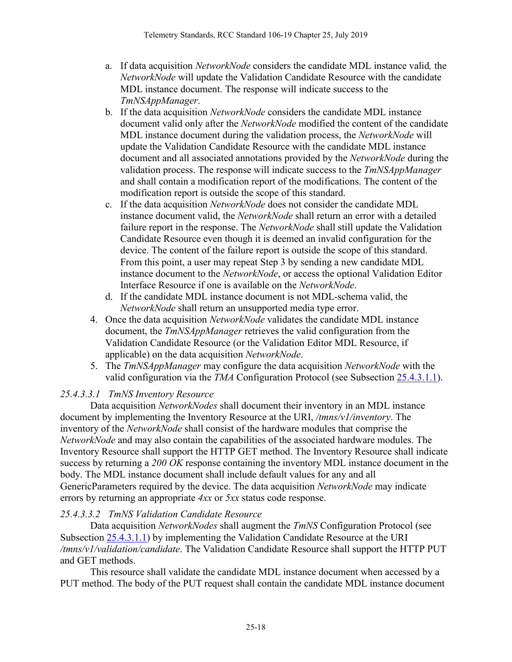- a. If data acquisition *NetworkNode* considers the candidate MDL instance valid*,* the *NetworkNode* will update the Validation Candidate Resource with the candidate MDL instance document. The response will indicate success to the *TmNSAppManager*.
- b. If the data acquisition *NetworkNode* considers the candidate MDL instance document valid only after the *NetworkNode* modified the content of the candidate MDL instance document during the validation process, the *NetworkNode* will update the Validation Candidate Resource with the candidate MDL instance document and all associated annotations provided by the *NetworkNode* during the validation process. The response will indicate success to the *TmNSAppManager* and shall contain a modification report of the modifications. The content of the modification report is outside the scope of this standard.
- c. If the data acquisition *NetworkNode* does not consider the candidate MDL instance document valid, the *NetworkNode* shall return an error with a detailed failure report in the response. The *NetworkNode* shall still update the Validation Candidate Resource even though it is deemed an invalid configuration for the device. The content of the failure report is outside the scope of this standard. From this point, a user may repeat Step 3 by sending a new candidate MDL instance document to the *NetworkNode*, or access the optional Validation Editor Interface Resource if one is available on the *NetworkNode*.
- d. If the candidate MDL instance document is not MDL-schema valid, the *NetworkNode* shall return an unsupported media type error.
- 4. Once the data acquisition *NetworkNode* validates the candidate MDL instance document, the *TmNSAppManager* retrieves the valid configuration from the Validation Candidate Resource (or the Validation Editor MDL Resource, if applicable) on the data acquisition *NetworkNode*.
- 5. The *TmNSAppManager* may configure the data acquisition *NetworkNode* with the valid configuration via the *TMA* Configuration Protocol (see Subsection [25.4.3.1.1\)](#page-14-1).

# *25.4.3.3.1 TmNS Inventory Resource*

Data acquisition *NetworkNodes* shall document their inventory in an MDL instance document by implementing the Inventory Resource at the URI, */tmns/v1/inventory*. The inventory of the *NetworkNode* shall consist of the hardware modules that comprise the *NetworkNode* and may also contain the capabilities of the associated hardware modules. The Inventory Resource shall support the HTTP GET method. The Inventory Resource shall indicate success by returning a *200 OK* response containing the inventory MDL instance document in the body. The MDL instance document shall include default values for any and all GenericParameters required by the device. The data acquisition *NetworkNode* may indicate errors by returning an appropriate *4xx* or *5xx* status code response.

# *25.4.3.3.2 TmNS Validation Candidate Resource*

Data acquisition *NetworkNodes* shall augment the *TmNS* Configuration Protocol (see Subsection [25.4.3.1.1\)](#page-14-1) by implementing the Validation Candidate Resource at the URI */tmns/v1/validation/candidate*. The Validation Candidate Resource shall support the HTTP PUT and GET methods.

This resource shall validate the candidate MDL instance document when accessed by a PUT method. The body of the PUT request shall contain the candidate MDL instance document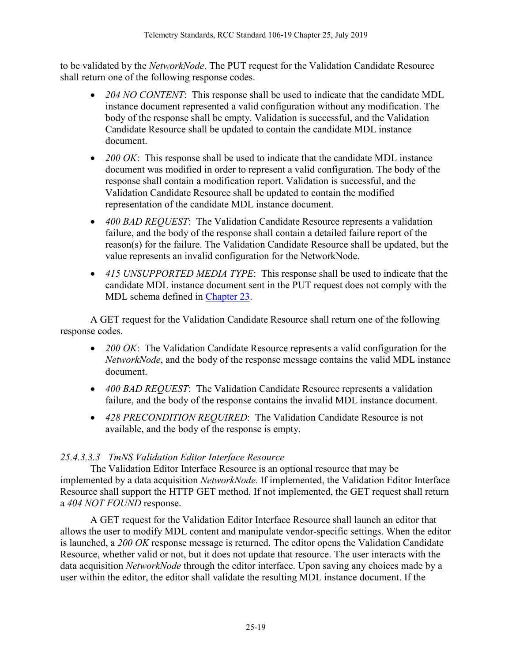to be validated by the *NetworkNode*. The PUT request for the Validation Candidate Resource shall return one of the following response codes.

- *204 NO CONTENT*: This response shall be used to indicate that the candidate MDL instance document represented a valid configuration without any modification. The body of the response shall be empty. Validation is successful, and the Validation Candidate Resource shall be updated to contain the candidate MDL instance document.
- *200 OK*: This response shall be used to indicate that the candidate MDL instance document was modified in order to represent a valid configuration. The body of the response shall contain a modification report. Validation is successful, and the Validation Candidate Resource shall be updated to contain the modified representation of the candidate MDL instance document.
- *400 BAD REQUEST*: The Validation Candidate Resource represents a validation failure, and the body of the response shall contain a detailed failure report of the reason(s) for the failure. The Validation Candidate Resource shall be updated, but the value represents an invalid configuration for the NetworkNode.
- *415 UNSUPPORTED MEDIA TYPE*: This response shall be used to indicate that the candidate MDL instance document sent in the PUT request does not comply with the MDL schema defined in [Chapter 23.](http://www.wsmr.army.mil/RCCsite/Documents/106-19_Telemetry_Standards/Chapter23.pdf)

A GET request for the Validation Candidate Resource shall return one of the following response codes.

- *200 OK*: The Validation Candidate Resource represents a valid configuration for the *NetworkNode*, and the body of the response message contains the valid MDL instance document.
- *400 BAD REQUEST*: The Validation Candidate Resource represents a validation failure, and the body of the response contains the invalid MDL instance document.
- *428 PRECONDITION REQUIRED*: The Validation Candidate Resource is not available, and the body of the response is empty.

# *25.4.3.3.3 TmNS Validation Editor Interface Resource*

The Validation Editor Interface Resource is an optional resource that may be implemented by a data acquisition *NetworkNode*. If implemented, the Validation Editor Interface Resource shall support the HTTP GET method. If not implemented, the GET request shall return a *404 NOT FOUND* response.

A GET request for the Validation Editor Interface Resource shall launch an editor that allows the user to modify MDL content and manipulate vendor-specific settings. When the editor is launched, a *200 OK* response message is returned. The editor opens the Validation Candidate Resource, whether valid or not, but it does not update that resource. The user interacts with the data acquisition *NetworkNode* through the editor interface. Upon saving any choices made by a user within the editor, the editor shall validate the resulting MDL instance document. If the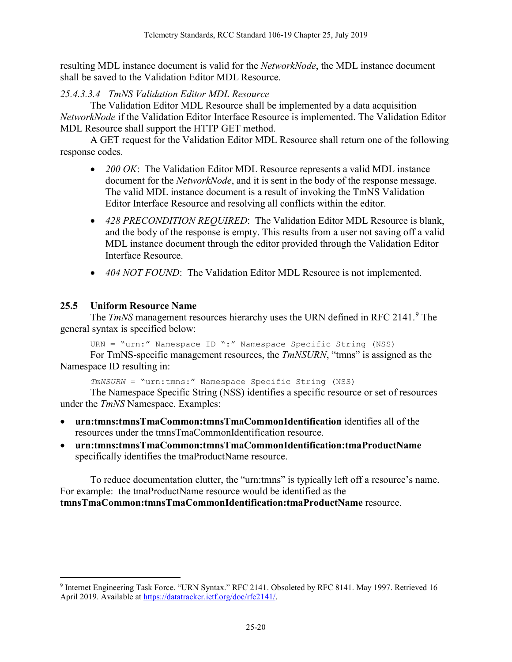resulting MDL instance document is valid for the *NetworkNode*, the MDL instance document shall be saved to the Validation Editor MDL Resource.

### *25.4.3.3.4 TmNS Validation Editor MDL Resource*

The Validation Editor MDL Resource shall be implemented by a data acquisition *NetworkNode* if the Validation Editor Interface Resource is implemented. The Validation Editor MDL Resource shall support the HTTP GET method.

A GET request for the Validation Editor MDL Resource shall return one of the following response codes.

- *200 OK*: The Validation Editor MDL Resource represents a valid MDL instance document for the *NetworkNode*, and it is sent in the body of the response message. The valid MDL instance document is a result of invoking the TmNS Validation Editor Interface Resource and resolving all conflicts within the editor.
- *428 PRECONDITION REQUIRED*: The Validation Editor MDL Resource is blank, and the body of the response is empty. This results from a user not saving off a valid MDL instance document through the editor provided through the Validation Editor Interface Resource.
- *404 NOT FOUND*: The Validation Editor MDL Resource is not implemented.

# <span id="page-23-0"></span>**25.5 Uniform Resource Name**

The *TmNS* management resources hierarchy uses the URN defined in RFC 2141.<sup>[9](#page-23-1)</sup> The general syntax is specified below:

```
URN = "urn:" Namespace ID ":" Namespace Specific String (NSS)
      For TmNS-specific management resources, the TmNSURN, "tmns" is assigned as the 
Namespace ID resulting in:
```
*TmNSURN* = "urn:tmns:" Namespace Specific String (NSS)

The Namespace Specific String (NSS) identifies a specific resource or set of resources under the *TmNS* Namespace. Examples:

- **urn:tmns:tmnsTmaCommon:tmnsTmaCommonIdentification** identifies all of the resources under the tmnsTmaCommonIdentification resource.
- **urn:tmns:tmnsTmaCommon:tmnsTmaCommonIdentification:tmaProductName** specifically identifies the tmaProductName resource.

To reduce documentation clutter, the "urn:tmns" is typically left off a resource's name. For example: the tmaProductName resource would be identified as the **tmnsTmaCommon:tmnsTmaCommonIdentification:tmaProductName** resource.

<span id="page-23-1"></span> <sup>9</sup> Internet Engineering Task Force. "URN Syntax." RFC 2141. Obsoleted by RFC 8141. May 1997. Retrieved 16 April 2019. Available a[t https://datatracker.ietf.org/doc/rfc2141/.](https://datatracker.ietf.org/doc/rfc2141/)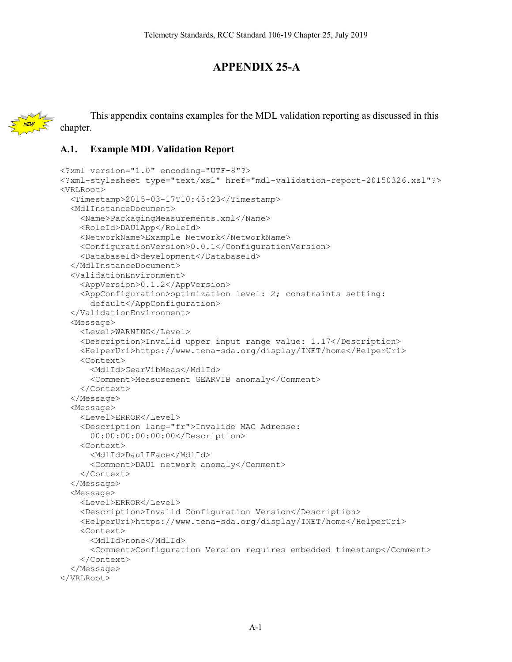# **APPENDIX 25-A**

<span id="page-24-1"></span><span id="page-24-0"></span>This appendix contains examples for the MDL validation reporting as discussed in this chapter.

#### **A.1. Example MDL Validation Report**

```
<?xml version="1.0" encoding="UTF-8"?>
<?xml-stylesheet type="text/xsl" href="mdl-validation-report-20150326.xsl"?>
<VRLRoot>
   <Timestamp>2015-03-17T10:45:23</Timestamp>
   <MdlInstanceDocument>
     <Name>PackagingMeasurements.xml</Name>
     <RoleId>DAU1App</RoleId>
     <NetworkName>Example Network</NetworkName>
     <ConfigurationVersion>0.0.1</ConfigurationVersion>
     <DatabaseId>development</DatabaseId>
   </MdlInstanceDocument>
   <ValidationEnvironment>
     <AppVersion>0.1.2</AppVersion>
     <AppConfiguration>optimization level: 2; constraints setting: 
      default</AppConfiguration>
   </ValidationEnvironment>
   <Message>
     <Level>WARNING</Level>
     <Description>Invalid upper input range value: 1.17</Description>
     <HelperUri>https://www.tena-sda.org/display/INET/home</HelperUri>
     <Context>
       <MdlId>GearVibMeas</MdlId>
       <Comment>Measurement GEARVIB anomaly</Comment>
     </Context>
   </Message>
   <Message>
     <Level>ERROR</Level>
     <Description lang="fr">Invalide MAC Adresse: 
      00:00:00:00:00:00</Description>
     <Context>
       <MdlId>Dau1IFace</MdlId>
       <Comment>DAU1 network anomaly</Comment>
     </Context>
   </Message>
   <Message>
     <Level>ERROR</Level>
     <Description>Invalid Configuration Version</Description>
     <HelperUri>https://www.tena-sda.org/display/INET/home</HelperUri>
     <Context>
       <MdlId>none</MdlId>
       <Comment>Configuration Version requires embedded timestamp</Comment>
     </Context>
   </Message>
</VRLRoot>
```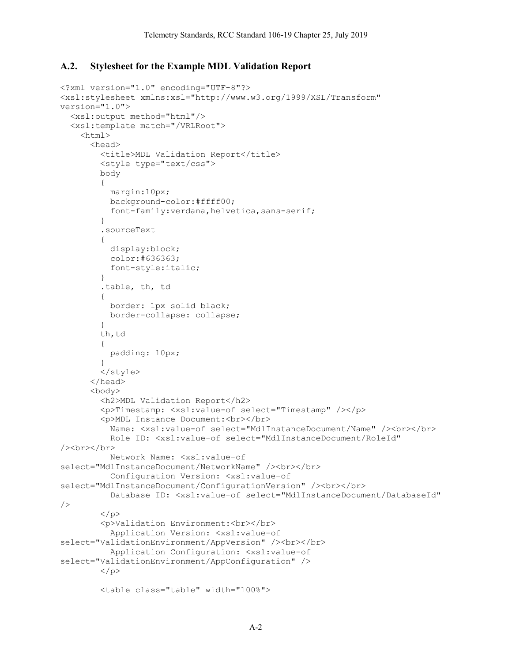#### **A.2. Stylesheet for the Example MDL Validation Report**

```
<?xml version="1.0" encoding="UTF-8"?>
<xsl:stylesheet xmlns:xsl="http://www.w3.org/1999/XSL/Transform" 
version="1.0">
   <xsl:output method="html"/>
   <xsl:template match="/VRLRoot">
    <html> <head>
        <title>MDL Validation Report</title>
         <style type="text/css">
        body
\{ margin:10px;
           background-color:#ffff00;
          font-family: verdana, helvetica, sans-serif;
 }
         .sourceText
\{ display:block;
           color:#636363;
           font-style:italic;
 }
         .table, th, td 
\{ border: 1px solid black;
        border-collapse: collapse;
 }
         th,td
\{ padding: 10px;
 }
         </style>
       </head>
       <body>
         <h2>MDL Validation Report</h2>
         <p>Timestamp: <xsl:value-of select="Timestamp" /></p>
         <p>MDL Instance Document:<br></br>
           Name: <xsl:value-of select="MdlInstanceDocument/Name" /><br></br>
           Role ID: <xsl:value-of select="MdlInstanceDocument/RoleId" 
/><br>></br>
           Network Name: <xsl:value-of 
select="MdlInstanceDocument/NetworkName" /><br></br>
           Configuration Version: <xsl:value-of 
select="MdlInstanceDocument/ConfigurationVersion" /><br></br>
           Database ID: <xsl:value-of select="MdlInstanceDocument/DatabaseId" 
/>
        \langle/p>
         <p>Validation Environment:<br></br>
           Application Version: <xsl:value-of 
select="ValidationEnvironment/AppVersion" /><br></br>
           Application Configuration: <xsl:value-of 
select="ValidationEnvironment/AppConfiguration" />
        \langle p \rangle <table class="table" width="100%">
```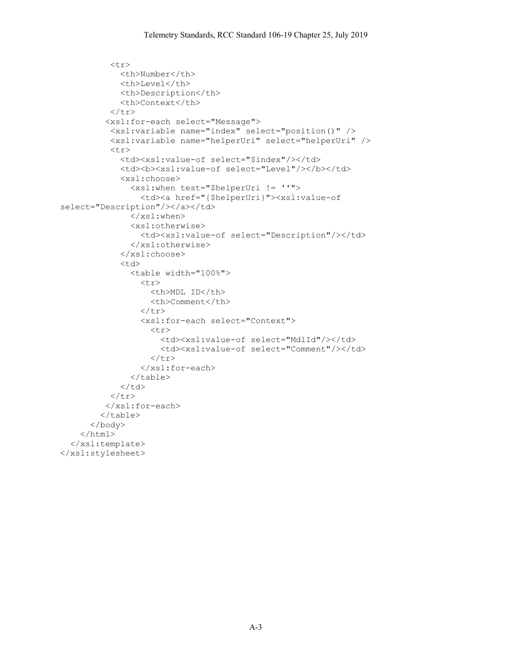```
<tr>
              <th>Number</th>
              <th>Level</th>
              <th>Description</th>
              <th>Context</th>
           \langle/tr>
          <xsl:for-each select="Message">
            <xsl:variable name="index" select="position()" />
            <xsl:variable name="helperUri" select="helperUri" />
           <tr>
              <td><xsl:value-of select="$index"/></td>
             <td><b>><xsl:value-of select="Level"/></b></td>
              <xsl:choose>
                <xsl:when test="$helperUri != ''">
                  <td><a href="{$helperUri}"><xsl:value-of 
select="Description"/></a></td>
               \langle xs1:when\rangle <xsl:otherwise>
                  <td><xsl:value-of select="Description"/></td>
                </xsl:otherwise>
              </xsl:choose> 
              <td>
                <table width="100%">
                 <tr>
                    <th>MDL ID</th>
                   <th>Comment</th>
                 \langle/tr>
                  <xsl:for-each select="Context">
                   <tr>
                       <td><xsl:value-of select="MdlId"/></td>
                      <td><xsl:value-of select="Comment"/></td>
                   \langletr>
                  </xsl:for-each>
                </table>
             \langle/td>
           \langle/tr>
          </xsl:for-each>
         </table>
       </body>
     </html>
   </xsl:template> 
</xsl:stylesheet>
```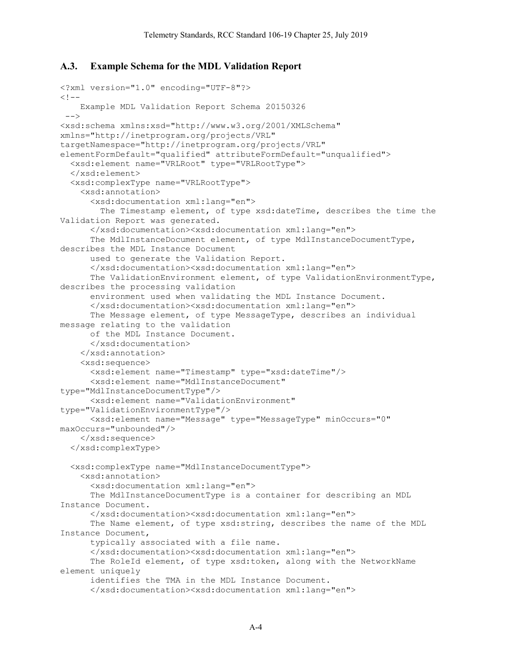#### **A.3. Example Schema for the MDL Validation Report**

```
<?xml version="1.0" encoding="UTF-8"?>
<! -- Example MDL Validation Report Schema 20150326
 --<xsd:schema xmlns:xsd="http://www.w3.org/2001/XMLSchema" 
xmlns="http://inetprogram.org/projects/VRL" 
targetNamespace="http://inetprogram.org/projects/VRL" 
elementFormDefault="qualified" attributeFormDefault="unqualified">
   <xsd:element name="VRLRoot" type="VRLRootType">
   </xsd:element>
   <xsd:complexType name="VRLRootType">
     <xsd:annotation>
       <xsd:documentation xml:lang="en">
        The Timestamp element, of type xsd:dateTime, describes the time the
Validation Report was generated.
       </xsd:documentation><xsd:documentation xml:lang="en">
       The MdlInstanceDocument element, of type MdlInstanceDocumentType, 
describes the MDL Instance Document
       used to generate the Validation Report.
       </xsd:documentation><xsd:documentation xml:lang="en">
       The ValidationEnvironment element, of type ValidationEnvironmentType, 
describes the processing validation
       environment used when validating the MDL Instance Document.
       </xsd:documentation><xsd:documentation xml:lang="en">
       The Message element, of type MessageType, describes an individual 
message relating to the validation
       of the MDL Instance Document.
       </xsd:documentation>
     </xsd:annotation>
     <xsd:sequence>
       <xsd:element name="Timestamp" type="xsd:dateTime"/>
       <xsd:element name="MdlInstanceDocument" 
type="MdlInstanceDocumentType"/>
       <xsd:element name="ValidationEnvironment" 
type="ValidationEnvironmentType"/>
       <xsd:element name="Message" type="MessageType" minOccurs="0" 
maxOccurs="unbounded"/>
     </xsd:sequence>
   </xsd:complexType>
   <xsd:complexType name="MdlInstanceDocumentType">
     <xsd:annotation>
       <xsd:documentation xml:lang="en">
       The MdlInstanceDocumentType is a container for describing an MDL 
Instance Document.
       </xsd:documentation><xsd:documentation xml:lang="en">
       The Name element, of type xsd:string, describes the name of the MDL 
Instance Document,
       typically associated with a file name.
       </xsd:documentation><xsd:documentation xml:lang="en">
       The RoleId element, of type xsd:token, along with the NetworkName 
element uniquely
       identifies the TMA in the MDL Instance Document.
       </xsd:documentation><xsd:documentation xml:lang="en">
```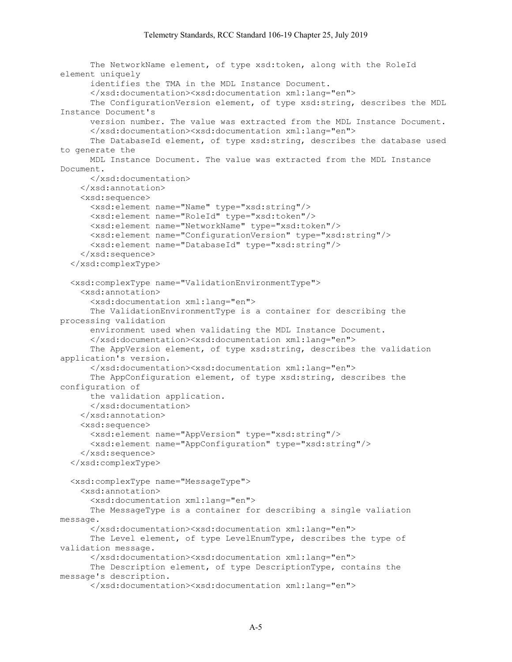```
 The NetworkName element, of type xsd:token, along with the RoleId 
element uniquely
       identifies the TMA in the MDL Instance Document.
       </xsd:documentation><xsd:documentation xml:lang="en">
       The ConfigurationVersion element, of type xsd:string, describes the MDL 
Instance Document's
       version number. The value was extracted from the MDL Instance Document.
       </xsd:documentation><xsd:documentation xml:lang="en">
       The DatabaseId element, of type xsd:string, describes the database used 
to generate the
      MDL Instance Document. The value was extracted from the MDL Instance 
Document.
       </xsd:documentation>
     </xsd:annotation>
     <xsd:sequence>
       <xsd:element name="Name" type="xsd:string"/>
       <xsd:element name="RoleId" type="xsd:token"/>
       <xsd:element name="NetworkName" type="xsd:token"/>
       <xsd:element name="ConfigurationVersion" type="xsd:string"/>
       <xsd:element name="DatabaseId" type="xsd:string"/>
     </xsd:sequence>
   </xsd:complexType>
   <xsd:complexType name="ValidationEnvironmentType">
     <xsd:annotation>
       <xsd:documentation xml:lang="en">
       The ValidationEnvironmentType is a container for describing the 
processing validation
       environment used when validating the MDL Instance Document.
       </xsd:documentation><xsd:documentation xml:lang="en">
       The AppVersion element, of type xsd:string, describes the validation 
application's version.
       </xsd:documentation><xsd:documentation xml:lang="en">
       The AppConfiguration element, of type xsd:string, describes the 
configuration of
       the validation application.
       </xsd:documentation>
     </xsd:annotation>
     <xsd:sequence>
       <xsd:element name="AppVersion" type="xsd:string"/>
       <xsd:element name="AppConfiguration" type="xsd:string"/>
     </xsd:sequence>
   </xsd:complexType>
   <xsd:complexType name="MessageType">
     <xsd:annotation>
       <xsd:documentation xml:lang="en">
       The MessageType is a container for describing a single valiation 
message.
       </xsd:documentation><xsd:documentation xml:lang="en">
       The Level element, of type LevelEnumType, describes the type of 
validation message.
       </xsd:documentation><xsd:documentation xml:lang="en">
       The Description element, of type DescriptionType, contains the 
message's description.
       </xsd:documentation><xsd:documentation xml:lang="en">
```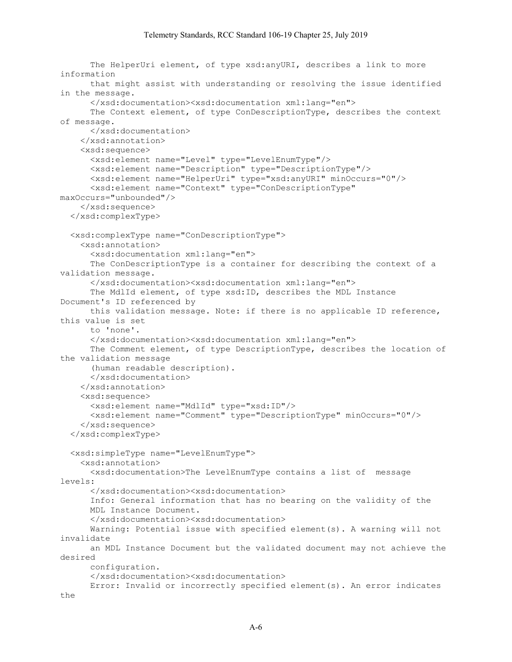```
 The HelperUri element, of type xsd:anyURI, describes a link to more 
information
       that might assist with understanding or resolving the issue identified 
in the message.
       </xsd:documentation><xsd:documentation xml:lang="en">
       The Context element, of type ConDescriptionType, describes the context 
of message.
       </xsd:documentation>
     </xsd:annotation>
     <xsd:sequence>
       <xsd:element name="Level" type="LevelEnumType"/>
       <xsd:element name="Description" type="DescriptionType"/>
       <xsd:element name="HelperUri" type="xsd:anyURI" minOccurs="0"/>
       <xsd:element name="Context" type="ConDescriptionType" 
maxOccurs="unbounded"/>
     </xsd:sequence>
   </xsd:complexType>
   <xsd:complexType name="ConDescriptionType">
     <xsd:annotation>
       <xsd:documentation xml:lang="en">
       The ConDescriptionType is a container for describing the context of a 
validation message.
       </xsd:documentation><xsd:documentation xml:lang="en">
       The MdlId element, of type xsd:ID, describes the MDL Instance 
Document's ID referenced by
      this validation message. Note: if there is no applicable ID reference, 
this value is set
       to 'none'.
       </xsd:documentation><xsd:documentation xml:lang="en">
       The Comment element, of type DescriptionType, describes the location of 
the validation message
       (human readable description).
       </xsd:documentation>
     </xsd:annotation>
     <xsd:sequence>
       <xsd:element name="MdlId" type="xsd:ID"/>
       <xsd:element name="Comment" type="DescriptionType" minOccurs="0"/>
     </xsd:sequence>
   </xsd:complexType>
   <xsd:simpleType name="LevelEnumType">
     <xsd:annotation>
       <xsd:documentation>The LevelEnumType contains a list of message 
levels:
       </xsd:documentation><xsd:documentation>
       Info: General information that has no bearing on the validity of the 
       MDL Instance Document.
       </xsd:documentation><xsd:documentation>
       Warning: Potential issue with specified element(s). A warning will not 
invalidate
       an MDL Instance Document but the validated document may not achieve the 
desired
       configuration.
       </xsd:documentation><xsd:documentation>
       Error: Invalid or incorrectly specified element(s). An error indicates 
the
```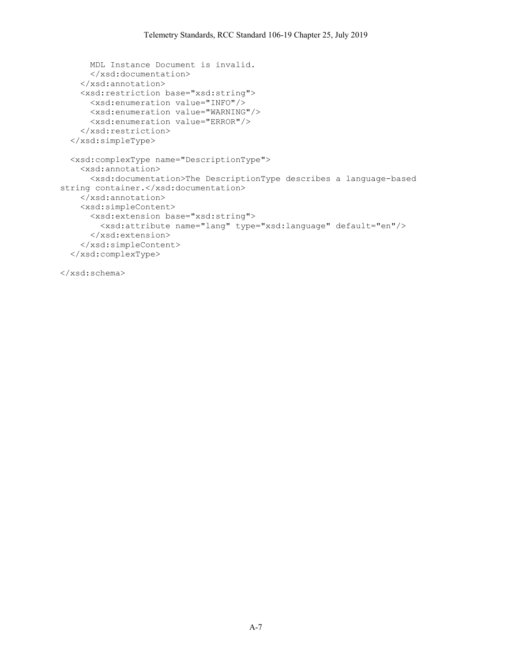```
 MDL Instance Document is invalid.
       </xsd:documentation>
     </xsd:annotation>
     <xsd:restriction base="xsd:string">
       <xsd:enumeration value="INFO"/>
       <xsd:enumeration value="WARNING"/>
       <xsd:enumeration value="ERROR"/>
     </xsd:restriction>
   </xsd:simpleType>
   <xsd:complexType name="DescriptionType">
     <xsd:annotation>
       <xsd:documentation>The DescriptionType describes a language-based 
string container.</xsd:documentation>
     </xsd:annotation>
     <xsd:simpleContent>
       <xsd:extension base="xsd:string">
         <xsd:attribute name="lang" type="xsd:language" default="en"/>
       </xsd:extension>
     </xsd:simpleContent>
   </xsd:complexType>
```
</xsd:schema>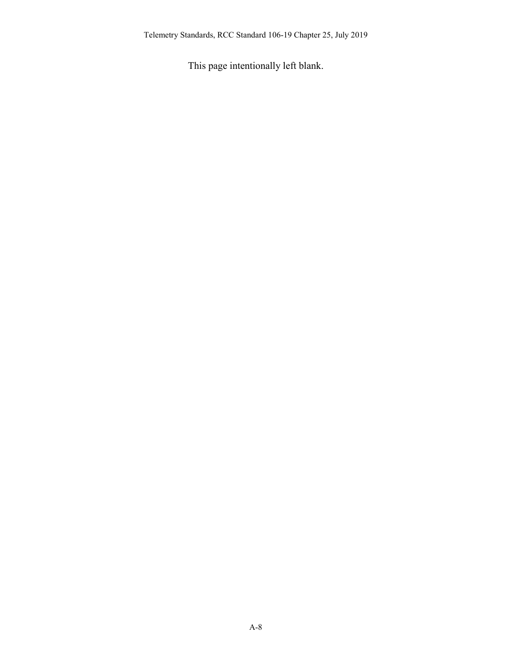This page intentionally left blank.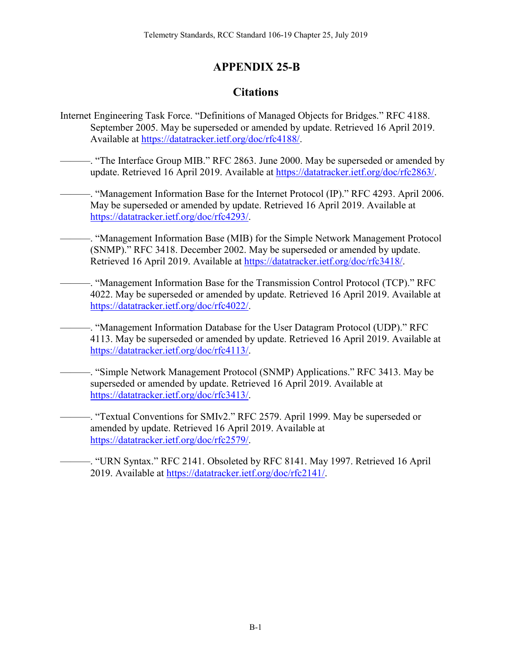# **APPENDIX 25-B**

# <span id="page-32-0"></span>**Citations**

Internet Engineering Task Force. "Definitions of Managed Objects for Bridges." RFC 4188. September 2005. May be superseded or amended by update. Retrieved 16 April 2019. Available at [https://datatracker.ietf.org/doc/rfc4188/.](https://datatracker.ietf.org/doc/rfc4188/)

———. "The Interface Group MIB." RFC 2863. June 2000. May be superseded or amended by update. Retrieved 16 April 2019. Available at [https://datatracker.ietf.org/doc/rfc2863/.](https://datatracker.ietf.org/doc/rfc2863/)

-. "Management Information Base for the Internet Protocol (IP)." RFC 4293. April 2006. May be superseded or amended by update. Retrieved 16 April 2019. Available at [https://datatracker.ietf.org/doc/rfc4293/.](https://datatracker.ietf.org/doc/rfc4293/)

———. "Management Information Base (MIB) for the Simple Network Management Protocol (SNMP)." RFC 3418. December 2002. May be superseded or amended by update. Retrieved 16 April 2019. Available at [https://datatracker.ietf.org/doc/rfc3418/.](https://datatracker.ietf.org/doc/rfc3418/)

———. "Management Information Base for the Transmission Control Protocol (TCP)." RFC 4022. May be superseded or amended by update. Retrieved 16 April 2019. Available at [https://datatracker.ietf.org/doc/rfc4022/.](https://datatracker.ietf.org/doc/rfc4022/)

———. "Management Information Database for the User Datagram Protocol (UDP)." RFC 4113. May be superseded or amended by update. Retrieved 16 April 2019. Available at [https://datatracker.ietf.org/doc/rfc4113/.](https://datatracker.ietf.org/doc/rfc4113/)

———. "Simple Network Management Protocol (SNMP) Applications." RFC 3413. May be superseded or amended by update. Retrieved 16 April 2019. Available at [https://datatracker.ietf.org/doc/rfc3413/.](https://datatracker.ietf.org/doc/rfc3413/)

———. "Textual Conventions for SMIv2." RFC 2579. April 1999. May be superseded or amended by update. Retrieved 16 April 2019. Available at [https://datatracker.ietf.org/doc/rfc2579/.](https://datatracker.ietf.org/doc/rfc2579/)

———. "URN Syntax." RFC 2141. Obsoleted by RFC 8141. May 1997. Retrieved 16 April 2019. Available at [https://datatracker.ietf.org/doc/rfc2141/.](https://datatracker.ietf.org/doc/rfc2141/)